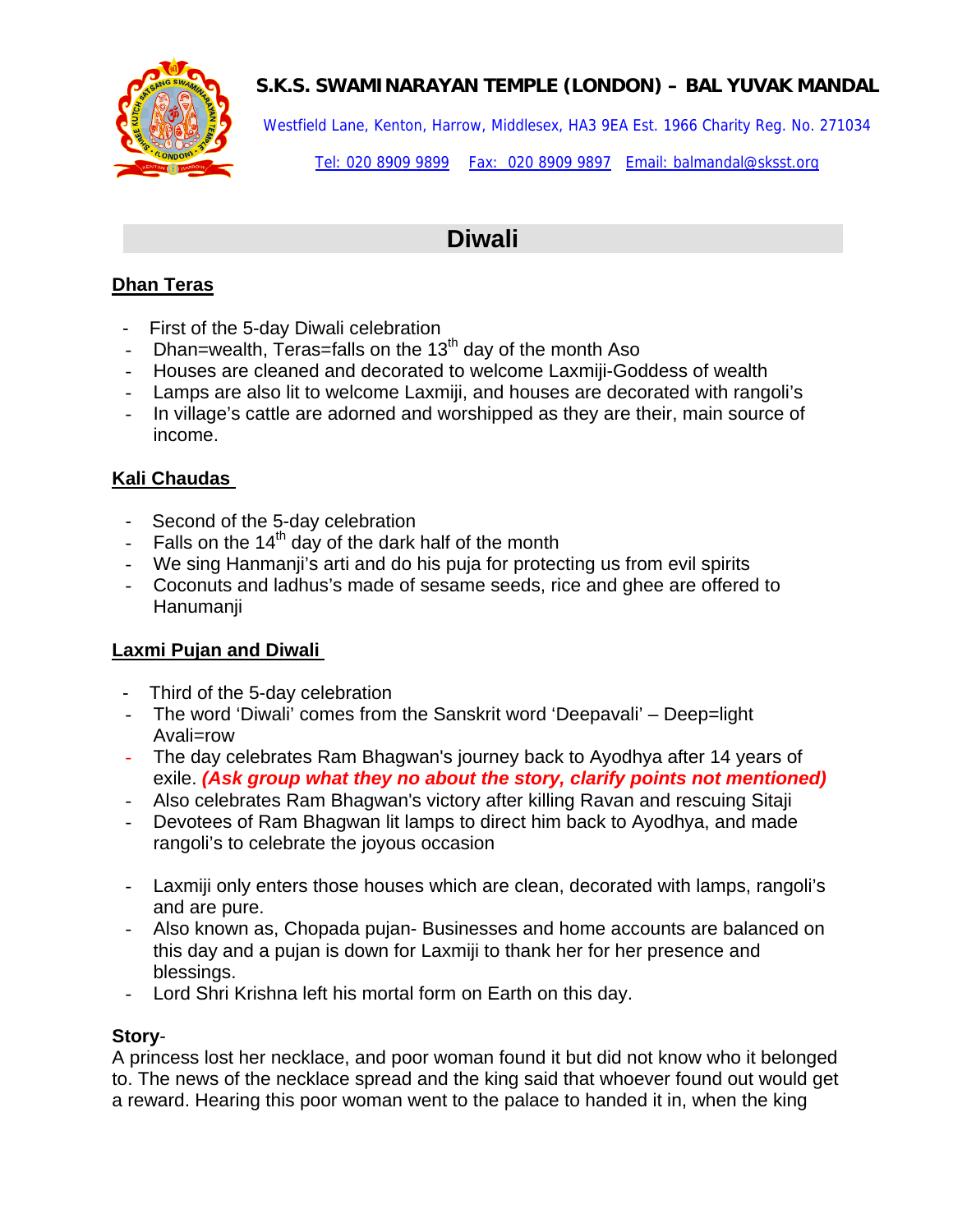

Westfield Lane, Kenton, Harrow, Middlesex, HA3 9EA Est. 1966 Charity Reg. No. 271034

Tel: 020 8909 9899 Fax: 020 8909 9897 Email: balmandal@sksst.org

# **Diwali**

### **Dhan Teras**

- First of the 5-day Diwali celebration
- Dhan=wealth, Teras=falls on the  $13<sup>th</sup>$  day of the month Aso
- Houses are cleaned and decorated to welcome Laxmiji-Goddess of wealth
- Lamps are also lit to welcome Laxmiji, and houses are decorated with rangoli's
- In village's cattle are adorned and worshipped as they are their, main source of income.

#### **Kali Chaudas**

- Second of the 5-day celebration
- Falls on the  $14<sup>th</sup>$  day of the dark half of the month
- We sing Hanmanji's arti and do his puja for protecting us from evil spirits
- Coconuts and ladhus's made of sesame seeds, rice and ghee are offered to Hanumanji

#### **Laxmi Pujan and Diwali**

- Third of the 5-day celebration
- The word 'Diwali' comes from the Sanskrit word 'Deepavali' Deep=light Avali=row
- The day celebrates Ram Bhagwan's journey back to Ayodhya after 14 years of exile. *(Ask group what they no about the story, clarify points not mentioned)*
- Also celebrates Ram Bhagwan's victory after killing Ravan and rescuing Sitaji
- Devotees of Ram Bhagwan lit lamps to direct him back to Ayodhya, and made rangoli's to celebrate the joyous occasion
- Laxmiji only enters those houses which are clean, decorated with lamps, rangoli's and are pure.
- Also known as, Chopada pujan- Businesses and home accounts are balanced on this day and a pujan is down for Laxmiji to thank her for her presence and blessings.
- Lord Shri Krishna left his mortal form on Earth on this day.

#### **Story**-

A princess lost her necklace, and poor woman found it but did not know who it belonged to. The news of the necklace spread and the king said that whoever found out would get a reward. Hearing this poor woman went to the palace to handed it in, when the king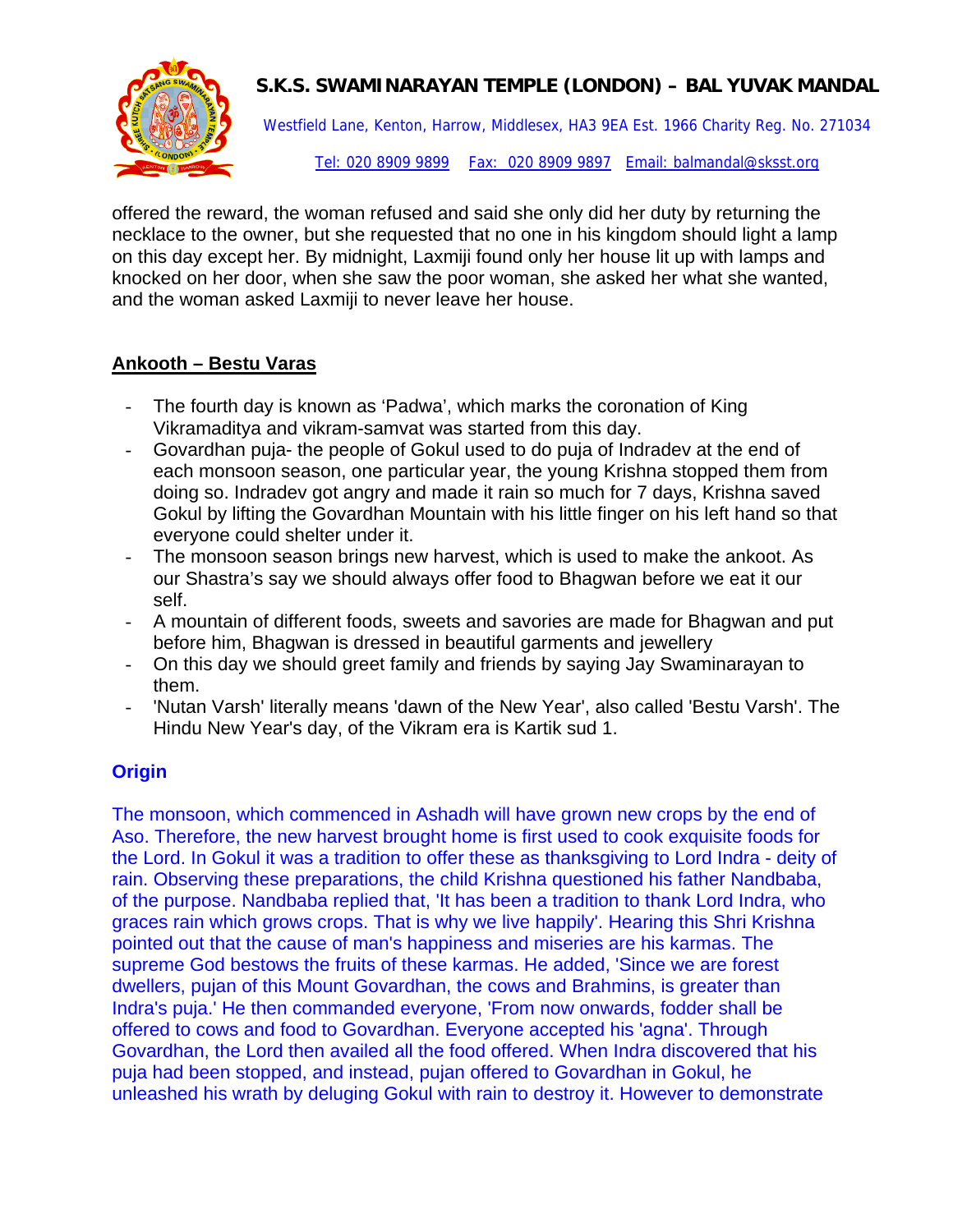

Westfield Lane, Kenton, Harrow, Middlesex, HA3 9EA Est. 1966 Charity Reg. No. 271034

Tel: 020 8909 9899 Fax: 020 8909 9897 Email: balmandal@sksst.org

offered the reward, the woman refused and said she only did her duty by returning the necklace to the owner, but she requested that no one in his kingdom should light a lamp on this day except her. By midnight, Laxmiji found only her house lit up with lamps and knocked on her door, when she saw the poor woman, she asked her what she wanted, and the woman asked Laxmiji to never leave her house.

#### **Ankooth – Bestu Varas**

- The fourth day is known as 'Padwa', which marks the coronation of King Vikramaditya and vikram-samvat was started from this day.
- Govardhan puja- the people of Gokul used to do puja of Indradev at the end of each monsoon season, one particular year, the young Krishna stopped them from doing so. Indradev got angry and made it rain so much for 7 days, Krishna saved Gokul by lifting the Govardhan Mountain with his little finger on his left hand so that everyone could shelter under it.
- The monsoon season brings new harvest, which is used to make the ankoot. As our Shastra's say we should always offer food to Bhagwan before we eat it our self.
- A mountain of different foods, sweets and savories are made for Bhagwan and put before him, Bhagwan is dressed in beautiful garments and jewellery
- On this day we should greet family and friends by saying Jay Swaminarayan to them.
- 'Nutan Varsh' literally means 'dawn of the New Year', also called 'Bestu Varsh'. The Hindu New Year's day, of the Vikram era is Kartik sud 1.

# **Origin**

The monsoon, which commenced in Ashadh will have grown new crops by the end of Aso. Therefore, the new harvest brought home is first used to cook exquisite foods for the Lord. In Gokul it was a tradition to offer these as thanksgiving to Lord Indra - deity of rain. Observing these preparations, the child Krishna questioned his father Nandbaba, of the purpose. Nandbaba replied that, 'It has been a tradition to thank Lord Indra, who graces rain which grows crops. That is why we live happily'. Hearing this Shri Krishna pointed out that the cause of man's happiness and miseries are his karmas. The supreme God bestows the fruits of these karmas. He added, 'Since we are forest dwellers, pujan of this Mount Govardhan, the cows and Brahmins, is greater than Indra's puja.' He then commanded everyone, 'From now onwards, fodder shall be offered to cows and food to Govardhan. Everyone accepted his 'agna'. Through Govardhan, the Lord then availed all the food offered. When Indra discovered that his puja had been stopped, and instead, pujan offered to Govardhan in Gokul, he unleashed his wrath by deluging Gokul with rain to destroy it. However to demonstrate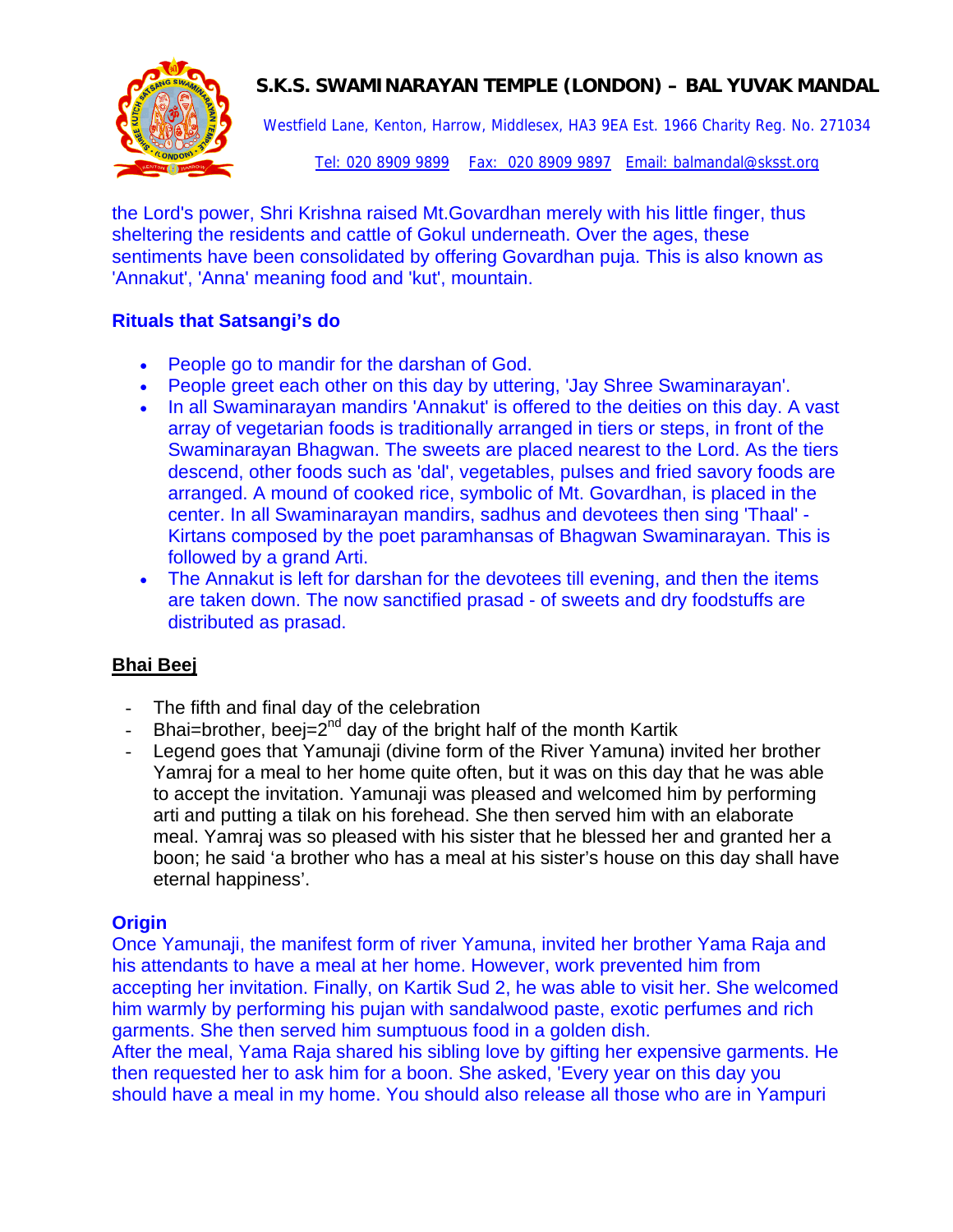

Westfield Lane, Kenton, Harrow, Middlesex, HA3 9EA Est. 1966 Charity Reg. No. 271034

Tel: 020 8909 9899 Fax: 020 8909 9897 Email: balmandal@sksst.org

the Lord's power, Shri Krishna raised Mt.Govardhan merely with his little finger, thus sheltering the residents and cattle of Gokul underneath. Over the ages, these sentiments have been consolidated by offering Govardhan puja. This is also known as 'Annakut', 'Anna' meaning food and 'kut', mountain.

#### **Rituals that Satsangi's do**

- People go to mandir for the darshan of God.
- People greet each other on this day by uttering, 'Jay Shree Swaminarayan'.
- In all Swaminarayan mandirs 'Annakut' is offered to the deities on this day. A vast array of vegetarian foods is traditionally arranged in tiers or steps, in front of the Swaminarayan Bhagwan. The sweets are placed nearest to the Lord. As the tiers descend, other foods such as 'dal', vegetables, pulses and fried savory foods are arranged. A mound of cooked rice, symbolic of Mt. Govardhan, is placed in the center. In all Swaminarayan mandirs, sadhus and devotees then sing 'Thaal' - Kirtans composed by the poet paramhansas of Bhagwan Swaminarayan. This is followed by a grand Arti.
- The Annakut is left for darshan for the devotees till evening, and then the items are taken down. The now sanctified prasad - of sweets and dry foodstuffs are distributed as prasad.

#### **Bhai Beej**

- The fifth and final day of the celebration
- Bhai=brother, beej= $2^{nd}$  day of the bright half of the month Kartik
- Legend goes that Yamunaji (divine form of the River Yamuna) invited her brother Yamraj for a meal to her home quite often, but it was on this day that he was able to accept the invitation. Yamunaji was pleased and welcomed him by performing arti and putting a tilak on his forehead. She then served him with an elaborate meal. Yamraj was so pleased with his sister that he blessed her and granted her a boon; he said 'a brother who has a meal at his sister's house on this day shall have eternal happiness'.

#### **Origin**

Once Yamunaji, the manifest form of river Yamuna, invited her brother Yama Raja and his attendants to have a meal at her home. However, work prevented him from accepting her invitation. Finally, on Kartik Sud 2, he was able to visit her. She welcomed him warmly by performing his pujan with sandalwood paste, exotic perfumes and rich garments. She then served him sumptuous food in a golden dish.

After the meal, Yama Raja shared his sibling love by gifting her expensive garments. He then requested her to ask him for a boon. She asked, 'Every year on this day you should have a meal in my home. You should also release all those who are in Yampuri